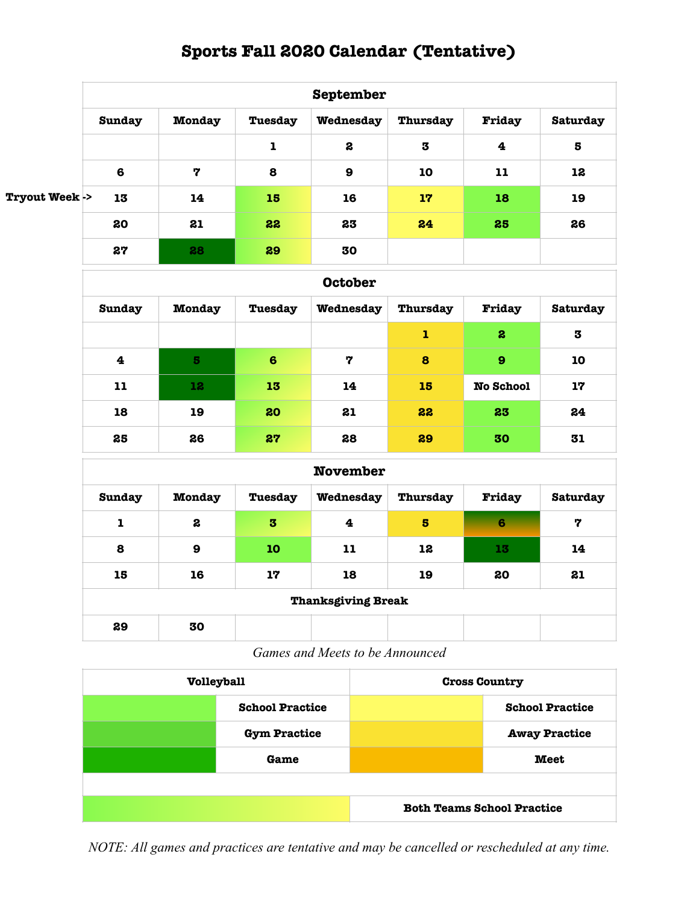## **Sports Fall 2020 Calendar (Tentative)**

|                          |                |               |             | September        |                         |                         |          |  |  |
|--------------------------|----------------|---------------|-------------|------------------|-------------------------|-------------------------|----------|--|--|
|                          | <b>Sunday</b>  | <b>Monday</b> | Tuesday     | Wednesday        | Thursday                | Friday                  | Saturday |  |  |
|                          |                |               | $\mathbf 1$ | 2                | $\overline{\mathbf{3}}$ | $\overline{\mathbf{4}}$ | 5        |  |  |
|                          | $\bf{6}$       | 7             | 8           | $\boldsymbol{9}$ | 10                      | 11                      | 12       |  |  |
| <b>Tryout Week -&gt;</b> | 13             | 14            | 15          | 16               | 17                      | 18                      | 19       |  |  |
|                          | 20             | 21            | 22          | 23               | 24                      | 25                      | 26       |  |  |
|                          | 27             | 28            | 29          | 30               |                         |                         |          |  |  |
|                          | <b>October</b> |               |             |                  |                         |                         |          |  |  |
|                          | <b>Sunday</b>  | <b>Monday</b> | Tuesday     | Wednesday        | Thursday                | Friday                  | Saturday |  |  |
|                          |                |               |             |                  | $\mathbf{1}$            | $\boldsymbol{z}$        | 3        |  |  |
|                          | 4              | в.            | $\epsilon$  | 7                | $\mathbf{R}$            | $\Omega$                | 10       |  |  |

| $\overline{\mathbf{4}}$ | 5  | 6  | לי | 8  | 9                | 10 |
|-------------------------|----|----|----|----|------------------|----|
| 11                      | 12 | 13 | 14 | 15 | <b>No School</b> | 17 |
| 18                      | 19 | 20 | 21 | 22 | 23               | 24 |
| 25                      | 26 | 27 | 28 | 29 | 30               | 31 |

| <b>November</b>           |               |         |           |                 |        |          |  |
|---------------------------|---------------|---------|-----------|-----------------|--------|----------|--|
| <b>Sunday</b>             | <b>Monday</b> | Tuesday | Wednesday | <b>Thursday</b> | Friday | Saturday |  |
| $\mathbf{1}$              | 2             | 3       | 4         | $\bf{5}$        | 6      | 7        |  |
| 8                         | 9             | 10      | 11        | 12              | 13     | 14       |  |
| 15                        | 16            | 17      | 18        | 19              | 20     | 21       |  |
| <b>Thanksgiving Break</b> |               |         |           |                 |        |          |  |
| 29                        | 30            |         |           |                 |        |          |  |

*Games and Meets to be Announced* 

| <b>Volleyball</b> |                        | <b>Cross Country</b>              |                        |  |
|-------------------|------------------------|-----------------------------------|------------------------|--|
|                   | <b>School Practice</b> |                                   | <b>School Practice</b> |  |
|                   | <b>Gym Practice</b>    |                                   | <b>Away Practice</b>   |  |
|                   | Game                   |                                   | <b>Meet</b>            |  |
|                   |                        |                                   |                        |  |
|                   |                        | <b>Both Teams School Practice</b> |                        |  |

*NOTE: All games and practices are tentative and may be cancelled or rescheduled at any time.*